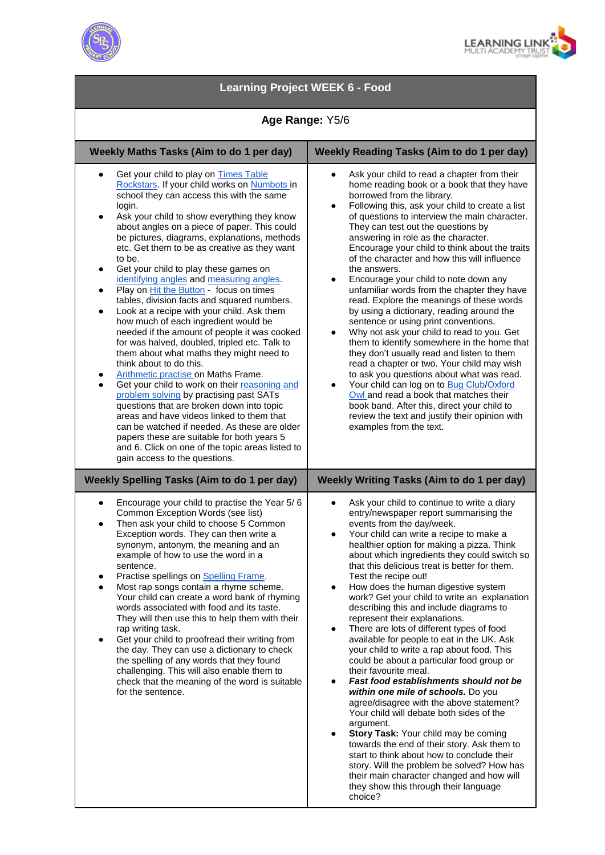



## **Learning Project WEEK 6 - Food Age Range:** Y5/6 **Weekly Maths Tasks (Aim to do 1 per day) Weekly Reading Tasks (Aim to do 1 per day)** Get your child to play on Times Table [Rockstars.](https://play.ttrockstars.com/auth/school) If your child works on [Numbots in](https://numbots.com/) school they can access this with the same login. Ask your child to show everything they know about angles on a piece of paper. This could be pictures, diagrams, explanations, methods etc. Get them to be as creative as they want to be. Get your child to play these games on [identifying angles](http://flash.topmarks.co.uk/4772) and [measuring angles.](http://flash.topmarks.co.uk/651)  Play on [Hit the Button](https://www.topmarks.co.uk/maths-games/hit-the-button) - focus on times tables, division facts and squared numbers. Look at a recipe with your child. Ask them how much of each ingredient would be needed if the amount of people it was cooked for was halved, doubled, tripled etc. Talk to them about what maths they might need to think about to do this. [Arithmetic practise o](https://mathsframe.co.uk/en/resources/resource/486/Y6-Arithmetic-Practice)n Maths Frame. Get your child to work on their reasoning and [problem solving](https://primarysite-prod-sorted.s3.amazonaws.com/springcroft-primary-school/UploadedDocument/915522a464444cfa96a70bc9bdaee45d/ultimate-ks2-maths-sats-organiser-y6-daily-mini-videos-puzzles-for-y5.pdf) by practising past SATs questions that are broken down into topic areas and have videos linked to them that can be watched if needed. As these are older papers these are suitable for both years 5 and 6. Click on one of the topic areas listed to gain access to the questions. Ask your child to read a chapter from their home reading book or a book that they have borrowed from the library. Following this, ask your child to create a list of questions to interview the main character. They can test out the questions by answering in role as the character. Encourage your child to think about the traits of the character and how this will influence the answers. Encourage your child to note down any unfamiliar words from the chapter they have read. Explore the meanings of these words by using a dictionary, reading around the sentence or using print conventions. Why not ask your child to read to you. Get them to identify somewhere in the home that they don't usually read and listen to them read a chapter or two. Your child may wish to ask you questions about what was read. Your child can log on to [Bug Club](https://www.activelearnprimary.co.uk/login?c=0)/Oxford [Owl a](https://www.oxfordowl.co.uk/for-home/)nd read a book that matches their book band. After this, direct your child to review the text and justify their opinion with examples from the text. **Weekly Spelling Tasks (Aim to do 1 per day) Weekly Writing Tasks (Aim to do 1 per day)** ● Encourage your child to practise the Year 5/ 6 Common Exception Words (see list) Then ask your child to choose 5 Common Exception words. They can then write a synonym, antonym, the meaning and an example of how to use the word in a sentence. Practise spellings on Spelling Frame. Most rap songs contain a rhyme scheme. Your child can create a word bank of rhyming words associated with food and its taste. They will then use this to help them with their rap writing task. Get your child to proofread their writing from the day. They can use a dictionary to check the spelling of any words that they found challenging. This will also enable them to check that the meaning of the word is suitable for the sentence. Ask your child to continue to write a diary entry/newspaper report summarising the events from the day/week. Your child can write a recipe to make a healthier option for making a pizza. Think about which ingredients they could switch so that this delicious treat is better for them. Test the recipe out! How does the human digestive system work? Get your child to write an explanation describing this and include diagrams to represent their explanations. There are lots of different types of food available for people to eat in the UK. Ask your child to write a rap about food. This could be about a particular food group or their favourite meal. **Fast food establishments should not be** *within one mile of schools.* Do you agree/disagree with the above statement? Your child will debate both sides of the argument. **Story Task: Your child may be coming** towards the end of their story. Ask them to start to think about how to conclude their story. Will the problem be solved? How has their main character changed and how will they show this through their language choice?